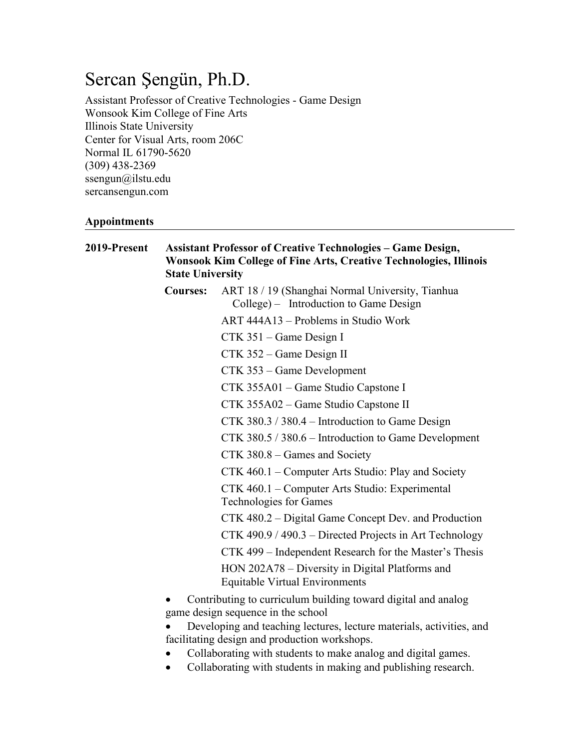# Sercan Şengün, Ph.D.

Assistant Professor of Creative Technologies - Game Design Wonsook Kim College of Fine Arts Illinois State University Center for Visual Arts, room 206C Normal IL 61790-5620 (309) 438-2369 ssengun@ilstu.edu sercansengun.com

#### **Appointments**

| 2019-Present | <b>Assistant Professor of Creative Technologies - Game Design,</b><br><b>Wonsook Kim College of Fine Arts, Creative Technologies, Illinois</b><br><b>State University</b> |                                                                                                     |
|--------------|---------------------------------------------------------------------------------------------------------------------------------------------------------------------------|-----------------------------------------------------------------------------------------------------|
|              | <b>Courses:</b>                                                                                                                                                           | ART 18 / 19 (Shanghai Normal University, Tianhua<br>College) – Introduction to Game Design          |
|              |                                                                                                                                                                           | ART 444A13 – Problems in Studio Work                                                                |
|              |                                                                                                                                                                           | CTK 351 - Game Design I                                                                             |
|              |                                                                                                                                                                           | CTK 352 – Game Design II                                                                            |
|              |                                                                                                                                                                           | CTK 353 - Game Development                                                                          |
|              |                                                                                                                                                                           | CTK 355A01 – Game Studio Capstone I                                                                 |
|              |                                                                                                                                                                           | CTK 355A02 – Game Studio Capstone II                                                                |
|              |                                                                                                                                                                           | CTK 380.3 / 380.4 – Introduction to Game Design                                                     |
|              |                                                                                                                                                                           | CTK 380.5 / 380.6 – Introduction to Game Development                                                |
|              |                                                                                                                                                                           | CTK 380.8 – Games and Society                                                                       |
|              |                                                                                                                                                                           | CTK 460.1 – Computer Arts Studio: Play and Society                                                  |
|              |                                                                                                                                                                           | CTK 460.1 - Computer Arts Studio: Experimental<br><b>Technologies for Games</b>                     |
|              |                                                                                                                                                                           | CTK 480.2 – Digital Game Concept Dev. and Production                                                |
|              |                                                                                                                                                                           | CTK 490.9 / 490.3 – Directed Projects in Art Technology                                             |
|              |                                                                                                                                                                           | CTK 499 – Independent Research for the Master's Thesis                                              |
|              |                                                                                                                                                                           | HON 202A78 – Diversity in Digital Platforms and<br><b>Equitable Virtual Environments</b>            |
|              |                                                                                                                                                                           | Contributing to curriculum building toward digital and analog<br>game design sequence in the school |
|              | ٠                                                                                                                                                                         | Developing and teaching lectures lecture materials activities and                                   |

- Developing and teaching lectures, lecture materials, activities, and facilitating design and production workshops.
- Collaborating with students to make analog and digital games.
- Collaborating with students in making and publishing research.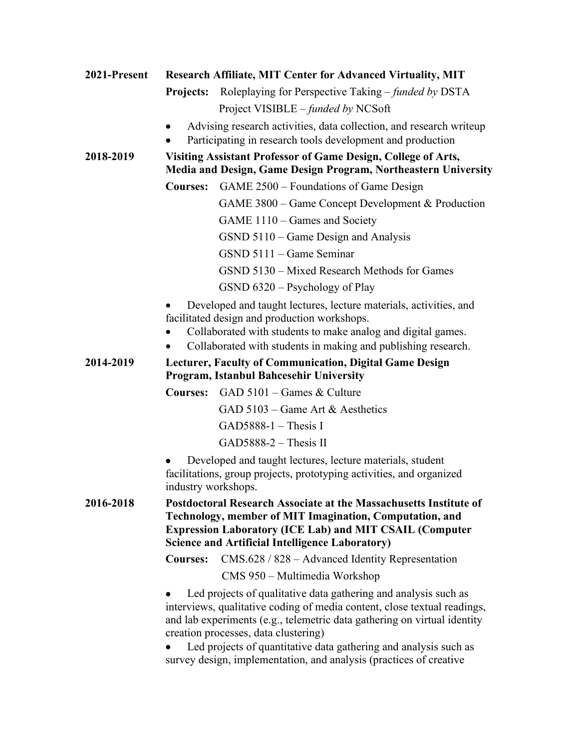| 2021-Present | <b>Research Affiliate, MIT Center for Advanced Virtuality, MIT</b>                                                                                                                                                                                                                                                                                                                                        |
|--------------|-----------------------------------------------------------------------------------------------------------------------------------------------------------------------------------------------------------------------------------------------------------------------------------------------------------------------------------------------------------------------------------------------------------|
|              | Roleplaying for Perspective Taking – funded by DSTA<br><b>Projects:</b>                                                                                                                                                                                                                                                                                                                                   |
|              | Project VISIBLE – funded by NCSoft                                                                                                                                                                                                                                                                                                                                                                        |
|              | Advising research activities, data collection, and research writeup                                                                                                                                                                                                                                                                                                                                       |
|              | Participating in research tools development and production                                                                                                                                                                                                                                                                                                                                                |
| 2018-2019    | Visiting Assistant Professor of Game Design, College of Arts,<br>Media and Design, Game Design Program, Northeastern University                                                                                                                                                                                                                                                                           |
|              | GAME 2500 – Foundations of Game Design<br><b>Courses:</b>                                                                                                                                                                                                                                                                                                                                                 |
|              | GAME 3800 – Game Concept Development & Production                                                                                                                                                                                                                                                                                                                                                         |
|              | GAME 1110 – Games and Society                                                                                                                                                                                                                                                                                                                                                                             |
|              | GSND 5110 – Game Design and Analysis                                                                                                                                                                                                                                                                                                                                                                      |
|              | GSND 5111 – Game Seminar                                                                                                                                                                                                                                                                                                                                                                                  |
|              | GSND 5130 – Mixed Research Methods for Games                                                                                                                                                                                                                                                                                                                                                              |
|              | $GSND 6320 - Psychology of Play$                                                                                                                                                                                                                                                                                                                                                                          |
|              | Developed and taught lectures, lecture materials, activities, and<br>facilitated design and production workshops.<br>Collaborated with students to make analog and digital games.<br>Collaborated with students in making and publishing research.                                                                                                                                                        |
| 2014-2019    | Lecturer, Faculty of Communication, Digital Game Design<br><b>Program, Istanbul Bahcesehir University</b>                                                                                                                                                                                                                                                                                                 |
|              | $GAD 5101 - Games & Culture$<br><b>Courses:</b>                                                                                                                                                                                                                                                                                                                                                           |
|              | GAD 5103 – Game Art & Aesthetics                                                                                                                                                                                                                                                                                                                                                                          |
|              | GAD5888-1 $-$ Thesis I                                                                                                                                                                                                                                                                                                                                                                                    |
|              | $GAD5888-2$ – Thesis II                                                                                                                                                                                                                                                                                                                                                                                   |
|              | Developed and taught lectures, lecture materials, student<br>facilitations, group projects, prototyping activities, and organized<br>industry workshops.                                                                                                                                                                                                                                                  |
| 2016-2018    | Postdoctoral Research Associate at the Massachusetts Institute of<br>Technology, member of MIT Imagination, Computation, and<br><b>Expression Laboratory (ICE Lab) and MIT CSAIL (Computer</b><br><b>Science and Artificial Intelligence Laboratory)</b>                                                                                                                                                  |
|              | $CMS.628 / 828 - Advanced Identity Representation$<br><b>Courses:</b>                                                                                                                                                                                                                                                                                                                                     |
|              | CMS 950 – Multimedia Workshop                                                                                                                                                                                                                                                                                                                                                                             |
|              | Led projects of qualitative data gathering and analysis such as<br>interviews, qualitative coding of media content, close textual readings,<br>and lab experiments (e.g., telemetric data gathering on virtual identity<br>creation processes, data clustering)<br>Led projects of quantitative data gathering and analysis such as<br>survey design, implementation, and analysis (practices of creative |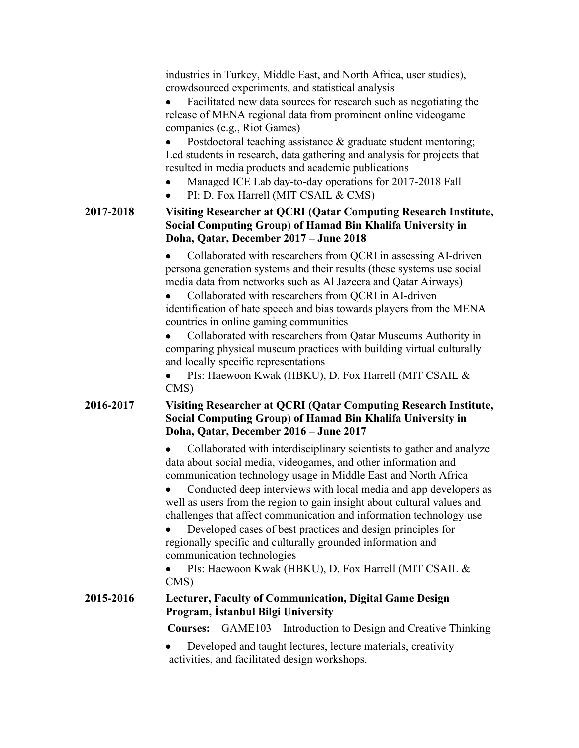industries in Turkey, Middle East, and North Africa, user studies), crowdsourced experiments, and statistical analysis

• Facilitated new data sources for research such as negotiating the release of MENA regional data from prominent online videogame companies (e.g., Riot Games)

• Postdoctoral teaching assistance & graduate student mentoring; Led students in research, data gathering and analysis for projects that resulted in media products and academic publications

- Managed ICE Lab day-to-day operations for 2017-2018 Fall
- PI: D. Fox Harrell (MIT CSAIL & CMS)

#### **2017-2018 Visiting Researcher at QCRI (Qatar Computing Research Institute, Social Computing Group) of Hamad Bin Khalifa University in Doha, Qatar, December 2017 – June 2018**

• Collaborated with researchers from QCRI in assessing AI-driven persona generation systems and their results (these systems use social media data from networks such as Al Jazeera and Qatar Airways)

• Collaborated with researchers from QCRI in AI-driven identification of hate speech and bias towards players from the MENA countries in online gaming communities

• Collaborated with researchers from Qatar Museums Authority in comparing physical museum practices with building virtual culturally and locally specific representations

• PIs: Haewoon Kwak (HBKU), D. Fox Harrell (MIT CSAIL & CMS)

#### **2016-2017 Visiting Researcher at QCRI (Qatar Computing Research Institute, Social Computing Group) of Hamad Bin Khalifa University in Doha, Qatar, December 2016 – June 2017**

• Collaborated with interdisciplinary scientists to gather and analyze data about social media, videogames, and other information and communication technology usage in Middle East and North Africa

• Conducted deep interviews with local media and app developers as well as users from the region to gain insight about cultural values and challenges that affect communication and information technology use

• Developed cases of best practices and design principles for regionally specific and culturally grounded information and communication technologies

• PIs: Haewoon Kwak (HBKU), D. Fox Harrell (MIT CSAIL & CMS)

#### **2015-2016 Lecturer, Faculty of Communication, Digital Game Design Program, İstanbul Bilgi University**

**Courses:** GAME103 – Introduction to Design and Creative Thinking

• Developed and taught lectures, lecture materials, creativity activities, and facilitated design workshops.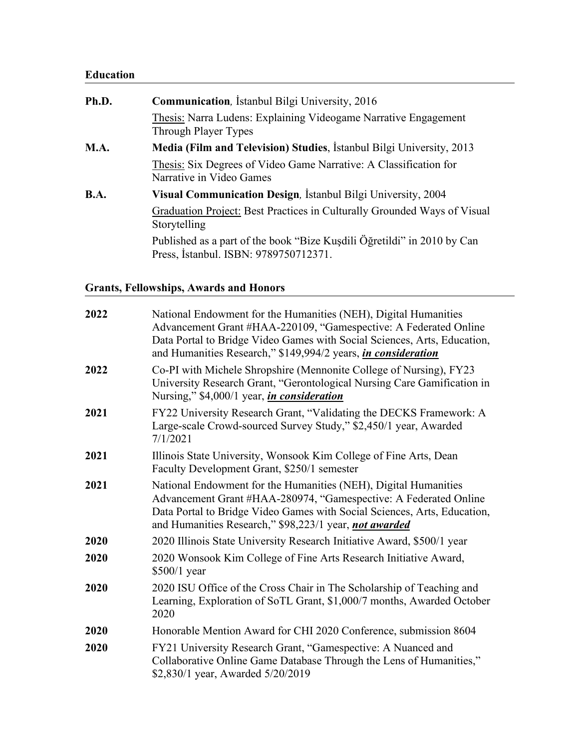## **Education**

| Ph.D. | <b>Communication</b> , Istanbul Bilgi University, 2016                                                           |
|-------|------------------------------------------------------------------------------------------------------------------|
|       | Thesis: Narra Ludens: Explaining Videogame Narrative Engagement<br>Through Player Types                          |
| M.A.  | Media (Film and Television) Studies, İstanbul Bilgi University, 2013                                             |
|       | Thesis: Six Degrees of Video Game Narrative: A Classification for<br>Narrative in Video Games                    |
| B.A.  | Visual Communication Design, İstanbul Bilgi University, 2004                                                     |
|       | Graduation Project: Best Practices in Culturally Grounded Ways of Visual<br>Storytelling                         |
|       | Published as a part of the book "Bize Kuşdili Öğretildi" in 2010 by Can<br>Press, İstanbul. ISBN: 9789750712371. |

## **Grants, Fellowships, Awards and Honors**

| 2022 | National Endowment for the Humanities (NEH), Digital Humanities<br>Advancement Grant #HAA-220109, "Gamespective: A Federated Online<br>Data Portal to Bridge Video Games with Social Sciences, Arts, Education,<br>and Humanities Research," \$149,994/2 years, <i>in consideration</i> |
|------|-----------------------------------------------------------------------------------------------------------------------------------------------------------------------------------------------------------------------------------------------------------------------------------------|
| 2022 | Co-PI with Michele Shropshire (Mennonite College of Nursing), FY23<br>University Research Grant, "Gerontological Nursing Care Gamification in<br>Nursing," \$4,000/1 year, <i>in consideration</i>                                                                                      |
| 2021 | FY22 University Research Grant, "Validating the DECKS Framework: A<br>Large-scale Crowd-sourced Survey Study," \$2,450/1 year, Awarded<br>7/1/2021                                                                                                                                      |
| 2021 | Illinois State University, Wonsook Kim College of Fine Arts, Dean<br>Faculty Development Grant, \$250/1 semester                                                                                                                                                                        |
| 2021 | National Endowment for the Humanities (NEH), Digital Humanities<br>Advancement Grant #HAA-280974, "Gamespective: A Federated Online<br>Data Portal to Bridge Video Games with Social Sciences, Arts, Education,<br>and Humanities Research," \$98,223/1 year, not awarded               |
| 2020 | 2020 Illinois State University Research Initiative Award, \$500/1 year                                                                                                                                                                                                                  |
| 2020 | 2020 Wonsook Kim College of Fine Arts Research Initiative Award,<br>$$500/1$ year                                                                                                                                                                                                       |
| 2020 | 2020 ISU Office of the Cross Chair in The Scholarship of Teaching and<br>Learning, Exploration of SoTL Grant, \$1,000/7 months, Awarded October<br>2020                                                                                                                                 |
| 2020 | Honorable Mention Award for CHI 2020 Conference, submission 8604                                                                                                                                                                                                                        |
| 2020 | FY21 University Research Grant, "Gamespective: A Nuanced and<br>Collaborative Online Game Database Through the Lens of Humanities,"<br>\$2,830/1 year, Awarded 5/20/2019                                                                                                                |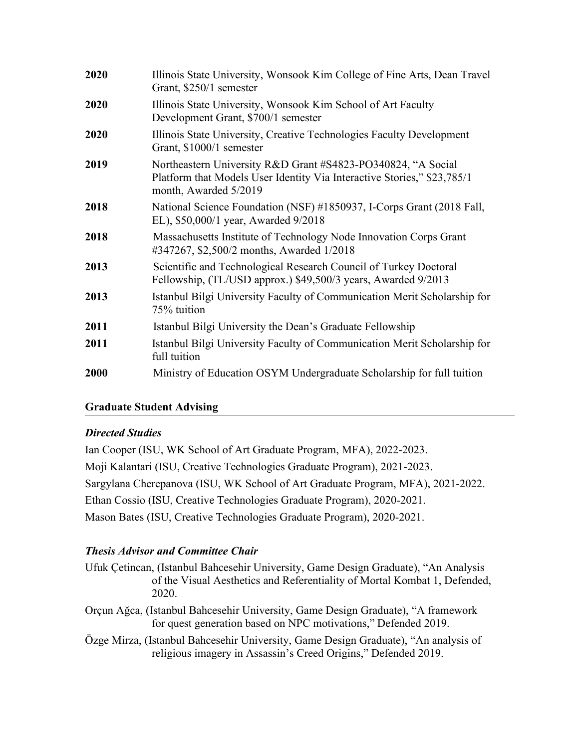| 2020 | Illinois State University, Wonsook Kim College of Fine Arts, Dean Travel<br>Grant, \$250/1 semester                                                              |
|------|------------------------------------------------------------------------------------------------------------------------------------------------------------------|
| 2020 | Illinois State University, Wonsook Kim School of Art Faculty<br>Development Grant, \$700/1 semester                                                              |
| 2020 | Illinois State University, Creative Technologies Faculty Development<br>Grant, \$1000/1 semester                                                                 |
| 2019 | Northeastern University R&D Grant #S4823-PO340824, "A Social<br>Platform that Models User Identity Via Interactive Stories," \$23,785/1<br>month, Awarded 5/2019 |
| 2018 | National Science Foundation (NSF) #1850937, I-Corps Grant (2018 Fall,<br>EL), \$50,000/1 year, Awarded 9/2018                                                    |
| 2018 | Massachusetts Institute of Technology Node Innovation Corps Grant<br>#347267, \$2,500/2 months, Awarded 1/2018                                                   |
| 2013 | Scientific and Technological Research Council of Turkey Doctoral<br>Fellowship, (TL/USD approx.) \$49,500/3 years, Awarded 9/2013                                |
| 2013 | Istanbul Bilgi University Faculty of Communication Merit Scholarship for<br>75% tuition                                                                          |
| 2011 | Istanbul Bilgi University the Dean's Graduate Fellowship                                                                                                         |
| 2011 | Istanbul Bilgi University Faculty of Communication Merit Scholarship for<br>full tuition                                                                         |
| 2000 | Ministry of Education OSYM Undergraduate Scholarship for full tuition                                                                                            |
|      |                                                                                                                                                                  |

### **Graduate Student Advising**

### **Directed Studies**

Ian Cooper (ISU, WK School of Art Graduate Program, MFA), 2022-2023. Moji Kalantari (ISU, Creative Technologies Graduate Program), 2021-2023. Sargylana Cherepanova (ISU, WK School of Art Graduate Program, MFA), 2021-2022. Ethan Cossio (ISU, Creative Technologies Graduate Program), 2020-2021. Mason Bates (ISU, Creative Technologies Graduate Program), 2020-2021.

## **Thesis Advisor and Committee Chair**

- Ufuk Cetincan, (Istanbul Bahcesehir University, Game Design Graduate), "An Analysis of the Visual Aesthetics and Referentiality of Mortal Kombat 1, Defended, 2020.
- Orçun Ağca, (Istanbul Bahcesehir University, Game Design Graduate), "A framework for quest generation based on NPC motivations," Defended 2019.
- Özge Mirza, (Istanbul Bahcesehir University, Game Design Graduate), "An analysis of religious imagery in Assassin's Creed Origins," Defended 2019.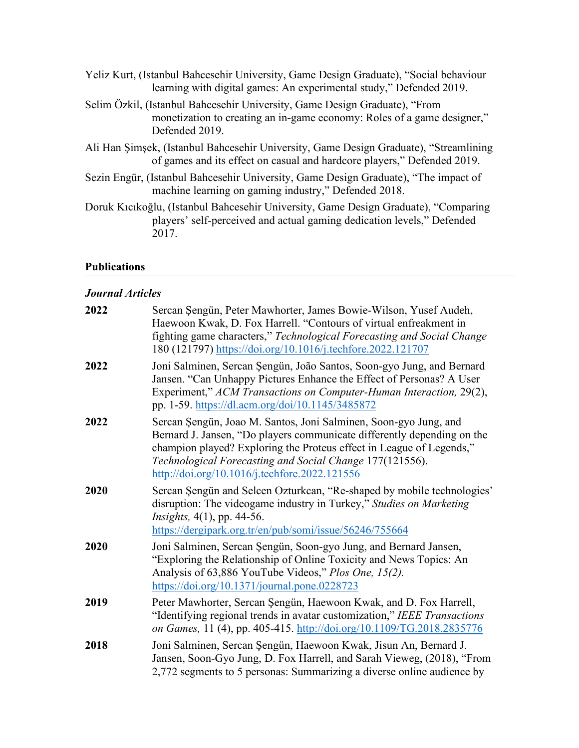| Yeliz Kurt, (Istanbul Bahcesehir University, Game Design Graduate), "Social behaviour<br>learning with digital games: An experimental study," Defended 2019.            |
|-------------------------------------------------------------------------------------------------------------------------------------------------------------------------|
| Selim Özkil, (Istanbul Bahcesehir University, Game Design Graduate), "From<br>monetization to creating an in-game economy: Roles of a game designer,"<br>Defended 2019. |
| Ali Han Şimşek, (Istanbul Bahcesehir University, Game Design Graduate), "Streamlining<br>of games and its effect on casual and hardcore players," Defended 2019.        |
| Sezin Engür, (Istanbul Bahcesehir University, Game Design Graduate), "The impact of<br>machine learning on gaming industry," Defended 2018.                             |
| Doruk Kıcıkoğlu, (Istanbul Bahcesehir University, Game Design Graduate), "Comparing<br>players' self-perceived and actual gaming dedication levels," Defended<br>2017.  |

## **Publications**

## *Journal Articles*

| 2022 | Sercan Şengün, Peter Mawhorter, James Bowie-Wilson, Yusef Audeh,<br>Haewoon Kwak, D. Fox Harrell. "Contours of virtual enfreakment in<br>fighting game characters," Technological Forecasting and Social Change<br>180 (121797) https://doi.org/10.1016/j.techfore.2022.121707                                                   |
|------|----------------------------------------------------------------------------------------------------------------------------------------------------------------------------------------------------------------------------------------------------------------------------------------------------------------------------------|
| 2022 | Joni Salminen, Sercan Şengün, João Santos, Soon-gyo Jung, and Bernard<br>Jansen. "Can Unhappy Pictures Enhance the Effect of Personas? A User<br>Experiment," ACM Transactions on Computer-Human Interaction, 29(2),<br>pp. 1-59. https://dl.acm.org/doi/10.1145/3485872                                                         |
| 2022 | Sercan Şengün, Joao M. Santos, Joni Salminen, Soon-gyo Jung, and<br>Bernard J. Jansen, "Do players communicate differently depending on the<br>champion played? Exploring the Proteus effect in League of Legends,"<br>Technological Forecasting and Social Change 177(121556).<br>http://doi.org/10.1016/j.techfore.2022.121556 |
| 2020 | Sercan Şengün and Selcen Ozturkcan, "Re-shaped by mobile technologies'<br>disruption: The videogame industry in Turkey," Studies on Marketing<br><i>Insights</i> , 4(1), pp. 44-56.<br>https://dergipark.org.tr/en/pub/somi/issue/56246/755664                                                                                   |
| 2020 | Joni Salminen, Sercan Şengün, Soon-gyo Jung, and Bernard Jansen,<br>"Exploring the Relationship of Online Toxicity and News Topics: An<br>Analysis of 63,886 YouTube Videos," Plos One, 15(2).<br>https://doi.org/10.1371/journal.pone.0228723                                                                                   |
| 2019 | Peter Mawhorter, Sercan Şengün, Haewoon Kwak, and D. Fox Harrell,<br>"Identifying regional trends in avatar customization," IEEE Transactions<br>on Games, 11 (4), pp. 405-415. http://doi.org/10.1109/TG.2018.2835776                                                                                                           |
| 2018 | Joni Salminen, Sercan Şengün, Haewoon Kwak, Jisun An, Bernard J.<br>Jansen, Soon-Gyo Jung, D. Fox Harrell, and Sarah Vieweg, (2018), "From<br>2,772 segments to 5 personas: Summarizing a diverse online audience by                                                                                                             |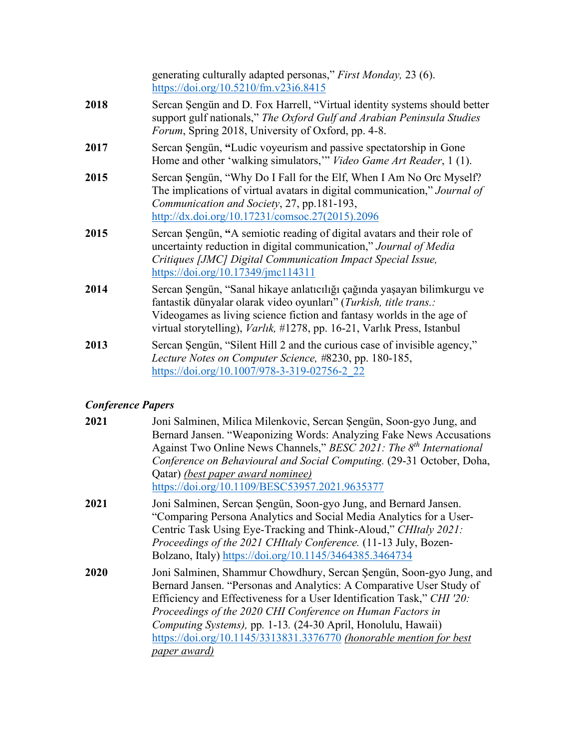|      | generating culturally adapted personas," First Monday, 23 (6).<br>https://doi.org/10.5210/fm.v23i6.8415                                                                                                                                                                                          |
|------|--------------------------------------------------------------------------------------------------------------------------------------------------------------------------------------------------------------------------------------------------------------------------------------------------|
| 2018 | Sercan Şengün and D. Fox Harrell, "Virtual identity systems should better<br>support gulf nationals," The Oxford Gulf and Arabian Peninsula Studies<br>Forum, Spring 2018, University of Oxford, pp. 4-8.                                                                                        |
| 2017 | Sercan Şengün, "Ludic voyeurism and passive spectatorship in Gone<br>Home and other 'walking simulators,'" Video Game Art Reader, 1 (1).                                                                                                                                                         |
| 2015 | Sercan Şengün, "Why Do I Fall for the Elf, When I Am No Orc Myself?<br>The implications of virtual avatars in digital communication," Journal of<br>Communication and Society, 27, pp.181-193,<br>http://dx.doi.org/10.17231/comsoc.27(2015).2096                                                |
| 2015 | Sercan Şengün, "A semiotic reading of digital avatars and their role of<br>uncertainty reduction in digital communication," Journal of Media<br>Critiques [JMC] Digital Communication Impact Special Issue,<br>$\frac{\text{https://doi.org/10.17349/imc114311}}{2}$                             |
| 2014 | Sercan Şengün, "Sanal hikaye anlatıcılığı çağında yaşayan bilimkurgu ve<br>fantastik dünyalar olarak video oyunları" (Turkish, title trans.:<br>Videogames as living science fiction and fantasy worlds in the age of<br>virtual storytelling), Varlık, #1278, pp. 16-21, Varlık Press, Istanbul |
| 2013 | Sercan Şengün, "Silent Hill 2 and the curious case of invisible agency,"<br>Lecture Notes on Computer Science, #8230, pp. 180-185,<br>https://doi.org/10.1007/978-3-319-02756-2 22                                                                                                               |

## *Conference Papers*

| 2021 | Joni Salminen, Milica Milenkovic, Sercan Şengün, Soon-gyo Jung, and<br>Bernard Jansen. "Weaponizing Words: Analyzing Fake News Accusations<br>Against Two Online News Channels," BESC 2021: The 8 <sup>th</sup> International<br>Conference on Behavioural and Social Computing. (29-31 October, Doha,<br>Qatar) (best paper award nominee)<br>https://doi.org/10.1109/BESC53957.2021.9635377                                               |
|------|---------------------------------------------------------------------------------------------------------------------------------------------------------------------------------------------------------------------------------------------------------------------------------------------------------------------------------------------------------------------------------------------------------------------------------------------|
| 2021 | Joni Salminen, Sercan Şengün, Soon-gyo Jung, and Bernard Jansen.<br>"Comparing Persona Analytics and Social Media Analytics for a User-<br>Centric Task Using Eye-Tracking and Think-Aloud," CHItaly 2021:<br>Proceedings of the 2021 CHItaly Conference. (11-13 July, Bozen-<br>Bolzano, Italy) https://doi.org/10.1145/3464385.3464734                                                                                                    |
| 2020 | Joni Salminen, Shammur Chowdhury, Sercan Şengün, Soon-gyo Jung, and<br>Bernard Jansen. "Personas and Analytics: A Comparative User Study of<br>Efficiency and Effectiveness for a User Identification Task," CHI '20:<br>Proceedings of the 2020 CHI Conference on Human Factors in<br>Computing Systems), pp. 1-13. (24-30 April, Honolulu, Hawaii)<br>https://doi.org/10.1145/3313831.3376770 (honorable mention for best<br>paper award) |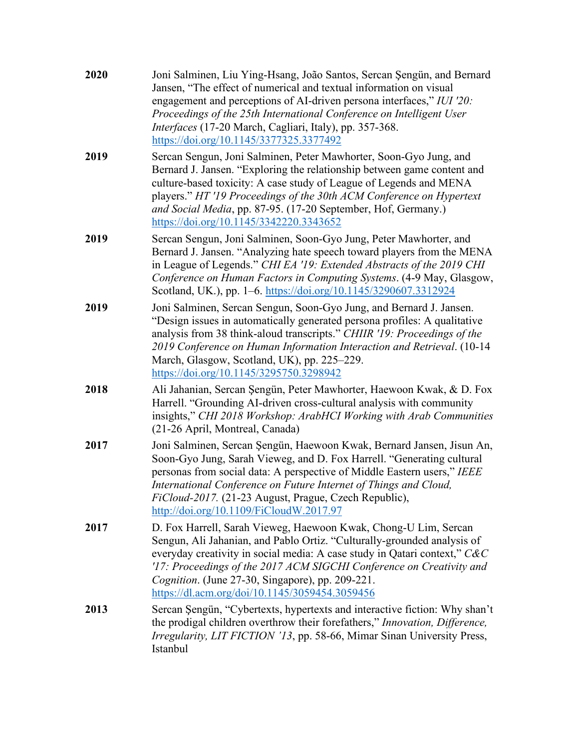| 2020 | Joni Salminen, Liu Ying-Hsang, João Santos, Sercan Şengün, and Bernard<br>Jansen, "The effect of numerical and textual information on visual<br>engagement and perceptions of AI-driven persona interfaces," IUI '20:<br>Proceedings of the 25th International Conference on Intelligent User<br>Interfaces (17-20 March, Cagliari, Italy), pp. 357-368.<br>https://doi.org/10.1145/3377325.3377492     |
|------|---------------------------------------------------------------------------------------------------------------------------------------------------------------------------------------------------------------------------------------------------------------------------------------------------------------------------------------------------------------------------------------------------------|
| 2019 | Sercan Sengun, Joni Salminen, Peter Mawhorter, Soon-Gyo Jung, and<br>Bernard J. Jansen. "Exploring the relationship between game content and<br>culture-based toxicity: A case study of League of Legends and MENA<br>players." HT '19 Proceedings of the 30th ACM Conference on Hypertext<br>and Social Media, pp. 87-95. (17-20 September, Hof, Germany.)<br>https://doi.org/10.1145/3342220.3343652  |
| 2019 | Sercan Sengun, Joni Salminen, Soon-Gyo Jung, Peter Mawhorter, and<br>Bernard J. Jansen. "Analyzing hate speech toward players from the MENA<br>in League of Legends." CHI EA '19: Extended Abstracts of the 2019 CHI<br>Conference on Human Factors in Computing Systems. (4-9 May, Glasgow,<br>Scotland, UK.), pp. 1–6. https://doi.org/10.1145/3290607.3312924                                        |
| 2019 | Joni Salminen, Sercan Sengun, Soon-Gyo Jung, and Bernard J. Jansen.<br>"Design issues in automatically generated persona profiles: A qualitative<br>analysis from 38 think-aloud transcripts." CHIIR '19: Proceedings of the<br>2019 Conference on Human Information Interaction and Retrieval. (10-14<br>March, Glasgow, Scotland, UK), pp. 225–229.<br>https://doi.org/10.1145/3295750.3298942        |
| 2018 | Ali Jahanian, Sercan Şengün, Peter Mawhorter, Haewoon Kwak, & D. Fox<br>Harrell. "Grounding AI-driven cross-cultural analysis with community<br>insights," CHI 2018 Workshop: ArabHCI Working with Arab Communities<br>(21-26 April, Montreal, Canada)                                                                                                                                                  |
| 2017 | Joni Salminen, Sercan Şengün, Haewoon Kwak, Bernard Jansen, Jisun An,<br>Soon-Gyo Jung, Sarah Vieweg, and D. Fox Harrell. "Generating cultural<br>personas from social data: A perspective of Middle Eastern users," IEEE<br>International Conference on Future Internet of Things and Cloud,<br>FiCloud-2017. (21-23 August, Prague, Czech Republic),<br>http://doi.org/10.1109/FiCloudW.2017.97       |
| 2017 | D. Fox Harrell, Sarah Vieweg, Haewoon Kwak, Chong-U Lim, Sercan<br>Sengun, Ali Jahanian, and Pablo Ortiz. "Culturally-grounded analysis of<br>everyday creativity in social media: A case study in Qatari context," $CAC$<br>'17: Proceedings of the 2017 ACM SIGCHI Conference on Creativity and<br>Cognition. (June 27-30, Singapore), pp. 209-221.<br>https://dl.acm.org/doi/10.1145/3059454.3059456 |
| 2013 | Sercan Şengün, "Cybertexts, hypertexts and interactive fiction: Why shan't<br>the prodigal children overthrow their forefathers," Innovation, Difference,<br><i>Irregularity, LIT FICTION '13, pp. 58-66, Mimar Sinan University Press,</i><br>Istanbul                                                                                                                                                 |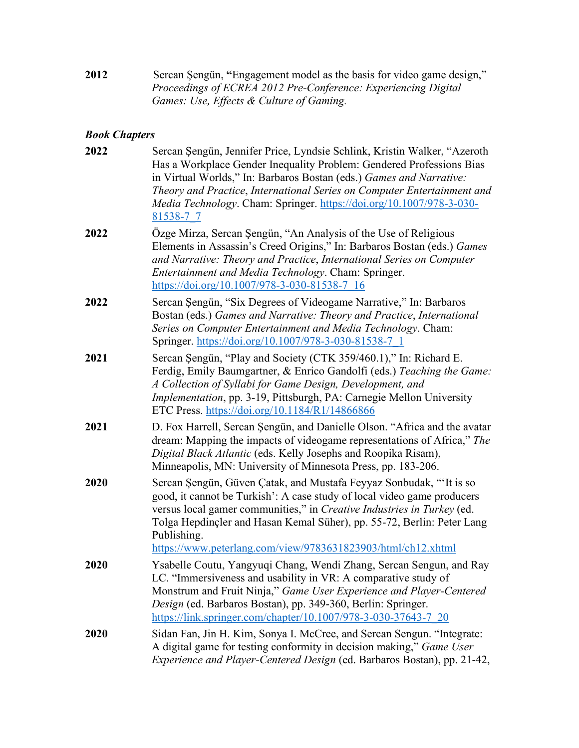**2012** Sercan Şengün, **"**Engagement model as the basis for video game design," *Proceedings of ECREA 2012 Pre-Conference: Experiencing Digital Games: Use, Effects & Culture of Gaming.* 

## *Book Chapters*

| 2022 | Sercan Şengün, Jennifer Price, Lyndsie Schlink, Kristin Walker, "Azeroth<br>Has a Workplace Gender Inequality Problem: Gendered Professions Bias<br>in Virtual Worlds," In: Barbaros Bostan (eds.) Games and Narrative:<br>Theory and Practice, International Series on Computer Entertainment and<br>Media Technology. Cham: Springer. https://doi.org/10.1007/978-3-030-<br>81538-7 7 |
|------|-----------------------------------------------------------------------------------------------------------------------------------------------------------------------------------------------------------------------------------------------------------------------------------------------------------------------------------------------------------------------------------------|
| 2022 | Özge Mirza, Sercan Şengün, "An Analysis of the Use of Religious<br>Elements in Assassin's Creed Origins," In: Barbaros Bostan (eds.) Games<br>and Narrative: Theory and Practice, International Series on Computer<br>Entertainment and Media Technology. Cham: Springer.<br>https://doi.org/10.1007/978-3-030-81538-7 16                                                               |
| 2022 | Sercan Şengün, "Six Degrees of Videogame Narrative," In: Barbaros<br>Bostan (eds.) Games and Narrative: Theory and Practice, International<br>Series on Computer Entertainment and Media Technology. Cham:<br>Springer. https://doi.org/10.1007/978-3-030-81538-7 1                                                                                                                     |
| 2021 | Sercan Şengün, "Play and Society (CTK 359/460.1)," In: Richard E.<br>Ferdig, Emily Baumgartner, & Enrico Gandolfi (eds.) Teaching the Game:<br>A Collection of Syllabi for Game Design, Development, and<br><i>Implementation</i> , pp. 3-19, Pittsburgh, PA: Carnegie Mellon University<br>ETC Press. https://doi.org/10.1184/R1/14866866                                              |
| 2021 | D. Fox Harrell, Sercan Şengün, and Danielle Olson. "Africa and the avatar<br>dream: Mapping the impacts of videogame representations of Africa," The<br>Digital Black Atlantic (eds. Kelly Josephs and Roopika Risam),<br>Minneapolis, MN: University of Minnesota Press, pp. 183-206.                                                                                                  |
| 2020 | Sercan Şengün, Güven Çatak, and Mustafa Feyyaz Sonbudak, "It is so<br>good, it cannot be Turkish': A case study of local video game producers<br>versus local gamer communities," in Creative Industries in Turkey (ed.<br>Tolga Hepdinçler and Hasan Kemal Süher), pp. 55-72, Berlin: Peter Lang<br>Publishing.<br>https://www.peterlang.com/view/9783631823903/html/ch12.xhtml        |
| 2020 | Ysabelle Coutu, Yangyuqi Chang, Wendi Zhang, Sercan Sengun, and Ray<br>LC. "Immersiveness and usability in VR: A comparative study of<br>Monstrum and Fruit Ninja," Game User Experience and Player-Centered<br>Design (ed. Barbaros Bostan), pp. 349-360, Berlin: Springer.<br>https://link.springer.com/chapter/10.1007/978-3-030-37643-7 20                                          |
| 2020 | Sidan Fan, Jin H. Kim, Sonya I. McCree, and Sercan Sengun. "Integrate:<br>A digital game for testing conformity in decision making," Game User<br>Experience and Player-Centered Design (ed. Barbaros Bostan), pp. 21-42,                                                                                                                                                               |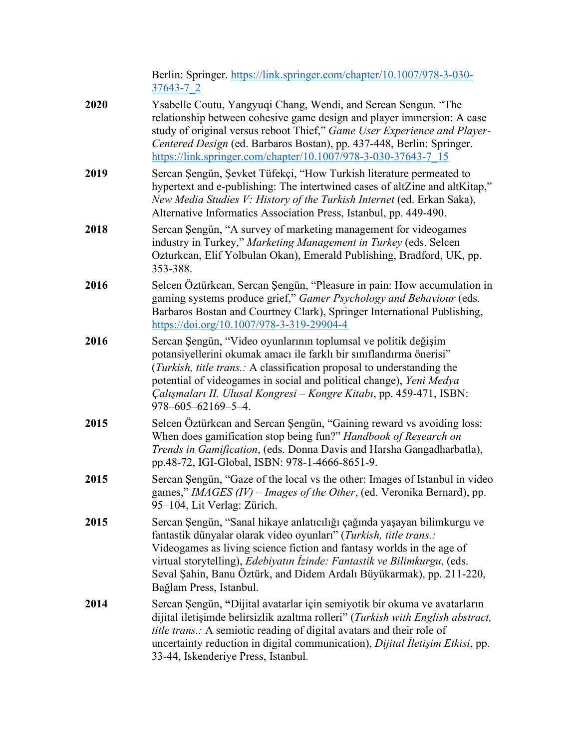|           | Berlin: Springer. https://link.springer.com/chapter/10.1007/978-3-030- |
|-----------|------------------------------------------------------------------------|
| 37643-7 2 |                                                                        |

- **2020** Ysabelle Coutu, Yangyuqi Chang, Wendi, and Sercan Sengun. "The relationship between cohesive game design and player immersion: A case study of original versus reboot Thief," *Game User Experience and Player-Centered Design* (ed. Barbaros Bostan), pp. 437-448, Berlin: Springer. https://link.springer.c[om/chapter/10.1007/978-3-030-37643-7\\_15](https://link.springer.com/chapter/10.1007/978-3-030-37643-7_15)
- **2019** Sercan Şengün, Şevket Tüfekçi, "How Turkish literature permeated to hypertext and e-publishing: The intertwined cases of altZine and altKitap," *New Media Studies V: History of the Turkish Internet* (ed. Erkan Saka), Alternative Informatics Association Press, Istanbul, pp. 449-490.
- **2018** Sercan Sengün, "A survey of marketing management for videogames industry in Turkey," *Marketing Management in Turkey* (eds. Selcen Ozturkcan, Elif Yolbulan Okan), Emerald Publishing, Bradford, UK, pp. 353-388.
- **2016** Selcen Öztürkcan, Sercan Şengün, "Pleasure in pain: How accumulation in gaming systems produce grief," *Gamer Psychology and Behaviour* (eds. Barbaros Bostan and Courtney Clark), Springer International Publishing, https://doi.org/[10.1007/978-3-319-29904-4](https://doi.org/10.1007/978-3-319-29904-4)
- **2016** Sercan Şengün, "Video oyunlarının toplumsal ve politik değişim potansiyellerini okumak amacı ile farklı bir sınıflandırma önerisi" (*Turkish, title trans.:* A classification proposal to understanding the potential of videogames in social and political change), *Yeni Medya Çalışmaları II. Ulusal Kongresi – Kongre Kitabı*, pp. 459-471, ISBN: 978–605–62169–5–4.
- **2015** Selcen Öztürkcan and Sercan Şengün, "Gaining reward vs avoiding loss: When does gamification stop being fun?" *Handbook of Research on Trends in Gamification*, (eds. Donna Davis and Harsha Gangadharbatla), pp.48-72, IGI-Global, ISBN: 978-1-4666-8651-9.
- **2015** Sercan Sengün, "Gaze of the local vs the other: Images of Istanbul in video games," *IMAGES (IV) – Images of the Other*, (ed. Veronika Bernard), pp. 95–104, Lit Verlag: Zürich.
- **2015** Sercan Şengün, "Sanal hikaye anlatıcılığı çağında yaşayan bilimkurgu ve fantastik dünyalar olarak video oyunları" (*Turkish, title trans.:* Videogames as living science fiction and fantasy worlds in the age of virtual storytelling), *Edebiyatın İzinde: Fantastik ve Bilimkurgu*, (eds. Seval Şahin, Banu Öztürk, and Didem Ardalı Büyükarmak), pp. 211-220, Bağlam Press, Istanbul.
- **2014** Sercan Şengün, **"**Dijital avatarlar için semiyotik bir okuma ve avatarların dijital iletişimde belirsizlik azaltma rolleri" (*Turkish with English abstract, title trans.:* A semiotic reading of digital avatars and their role of uncertainty reduction in digital communication), *Dijital İletişim Etkisi*, pp. 33-44, Iskenderiye Press, Istanbul.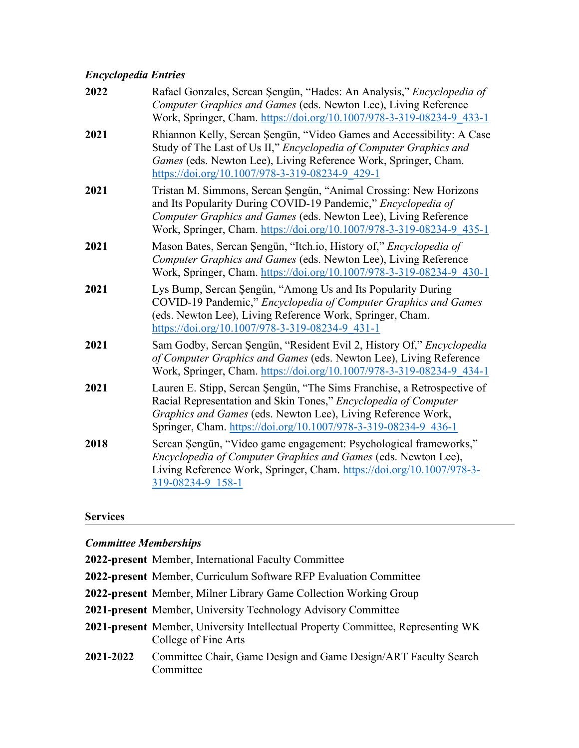#### *Encyclopedia Entries*

| 2022 | Rafael Gonzales, Sercan Şengün, "Hades: An Analysis," Encyclopedia of<br>Computer Graphics and Games (eds. Newton Lee), Living Reference<br>Work, Springer, Cham. https://doi.org/10.1007/978-3-319-08234-9 433-1                                                              |
|------|--------------------------------------------------------------------------------------------------------------------------------------------------------------------------------------------------------------------------------------------------------------------------------|
| 2021 | Rhiannon Kelly, Sercan Şengün, "Video Games and Accessibility: A Case<br>Study of The Last of Us II," Encyclopedia of Computer Graphics and<br>Games (eds. Newton Lee), Living Reference Work, Springer, Cham.<br>https://doi.org/10.1007/978-3-319-08234-9 429-1              |
| 2021 | Tristan M. Simmons, Sercan Şengün, "Animal Crossing: New Horizons<br>and Its Popularity During COVID-19 Pandemic," Encyclopedia of<br>Computer Graphics and Games (eds. Newton Lee), Living Reference<br>Work, Springer, Cham. https://doi.org/10.1007/978-3-319-08234-9 435-1 |
| 2021 | Mason Bates, Sercan Şengün, "Itch.io, History of," <i>Encyclopedia of</i><br>Computer Graphics and Games (eds. Newton Lee), Living Reference<br>Work, Springer, Cham. https://doi.org/10.1007/978-3-319-08234-9 430-1                                                          |
| 2021 | Lys Bump, Sercan Şengün, "Among Us and Its Popularity During<br>COVID-19 Pandemic," Encyclopedia of Computer Graphics and Games<br>(eds. Newton Lee), Living Reference Work, Springer, Cham.<br>https://doi.org/10.1007/978-3-319-08234-9 431-1                                |
| 2021 | Sam Godby, Sercan Şengün, "Resident Evil 2, History Of," Encyclopedia<br>of Computer Graphics and Games (eds. Newton Lee), Living Reference<br>Work, Springer, Cham. https://doi.org/10.1007/978-3-319-08234-9_434-1                                                           |
| 2021 | Lauren E. Stipp, Sercan Şengün, "The Sims Franchise, a Retrospective of<br>Racial Representation and Skin Tones," Encyclopedia of Computer<br>Graphics and Games (eds. Newton Lee), Living Reference Work,<br>Springer, Cham. https://doi.org/10.1007/978-3-319-08234-9 436-1  |
| 2018 | Sercan Şengün, "Video game engagement: Psychological frameworks,"<br>Encyclopedia of Computer Graphics and Games (eds. Newton Lee),<br>Living Reference Work, Springer, Cham. https://doi.org/10.1007/978-3-<br>319-08234-9 158-1                                              |

#### **Services**

#### *Committee Memberships*

**2022-present** Member, International Faculty Committee

**2022-present** Member, Curriculum Software RFP Evaluation Committee

- **2022-present** Member, Milner Library Game Collection Working Group
- **2021-present** Member, University Technology Advisory Committee
- **2021-present** Member, University Intellectual Property Committee, Representing WK College of Fine Arts
- **2021-2022** Committee Chair, Game Design and Game Design/ART Faculty Search Committee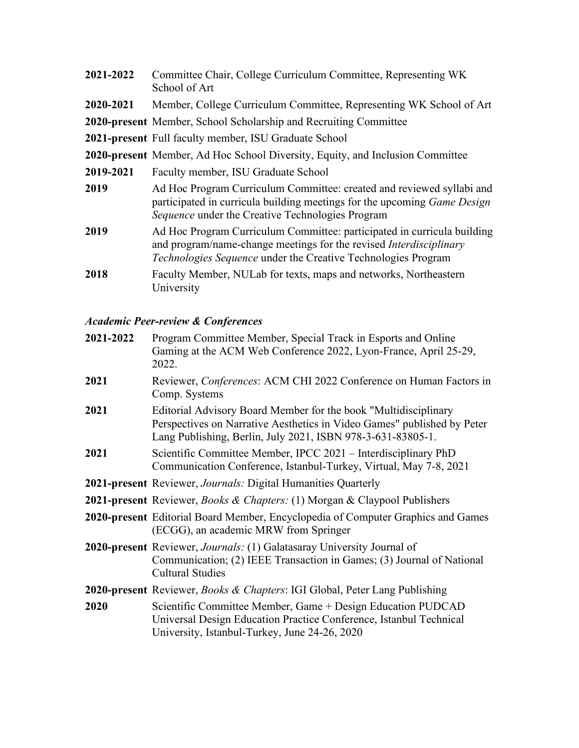| 2021-2022 | Committee Chair, College Curriculum Committee, Representing WK<br>School of Art                                                                                                                                              |
|-----------|------------------------------------------------------------------------------------------------------------------------------------------------------------------------------------------------------------------------------|
| 2020-2021 | Member, College Curriculum Committee, Representing WK School of Art                                                                                                                                                          |
|           | 2020-present Member, School Scholarship and Recruiting Committee                                                                                                                                                             |
|           | 2021-present Full faculty member, ISU Graduate School                                                                                                                                                                        |
|           | 2020-present Member, Ad Hoc School Diversity, Equity, and Inclusion Committee                                                                                                                                                |
| 2019-2021 | Faculty member, ISU Graduate School                                                                                                                                                                                          |
| 2019      | Ad Hoc Program Curriculum Committee: created and reviewed syllabi and<br>participated in curricula building meetings for the upcoming <i>Game Design</i><br>Sequence under the Creative Technologies Program                 |
| 2019      | Ad Hoc Program Curriculum Committee: participated in curricula building<br>and program/name-change meetings for the revised <i>Interdisciplinary</i><br><i>Technologies Sequence</i> under the Creative Technologies Program |
| 2018      | Faculty Member, NULab for texts, maps and networks, Northeastern<br>University                                                                                                                                               |

## *Academic Peer-review & Conferences*

| 2021-2022 | Program Committee Member, Special Track in Esports and Online<br>Gaming at the ACM Web Conference 2022, Lyon-France, April 25-29,<br>2022.                                                                |
|-----------|-----------------------------------------------------------------------------------------------------------------------------------------------------------------------------------------------------------|
| 2021      | Reviewer, Conferences: ACM CHI 2022 Conference on Human Factors in<br>Comp. Systems                                                                                                                       |
| 2021      | Editorial Advisory Board Member for the book "Multidisciplinary<br>Perspectives on Narrative Aesthetics in Video Games" published by Peter<br>Lang Publishing, Berlin, July 2021, ISBN 978-3-631-83805-1. |
| 2021      | Scientific Committee Member, IPCC 2021 – Interdisciplinary PhD<br>Communication Conference, Istanbul-Turkey, Virtual, May 7-8, 2021                                                                       |
|           | <b>2021-present</b> Reviewer, <i>Journals:</i> Digital Humanities Quarterly                                                                                                                               |
|           | <b>2021-present</b> Reviewer, <i>Books &amp; Chapters:</i> (1) Morgan & Claypool Publishers                                                                                                               |
|           | 2020-present Editorial Board Member, Encyclopedia of Computer Graphics and Games<br>(ECGG), an academic MRW from Springer                                                                                 |
|           | 2020-present Reviewer, Journals: (1) Galatasaray University Journal of<br>Communication; (2) IEEE Transaction in Games; (3) Journal of National<br><b>Cultural Studies</b>                                |
|           | 2020-present Reviewer, Books & Chapters: IGI Global, Peter Lang Publishing                                                                                                                                |
| 2020      | Scientific Committee Member, Game + Design Education PUDCAD<br>Universal Design Education Practice Conference, Istanbul Technical<br>University, Istanbul-Turkey, June 24-26, 2020                        |
|           |                                                                                                                                                                                                           |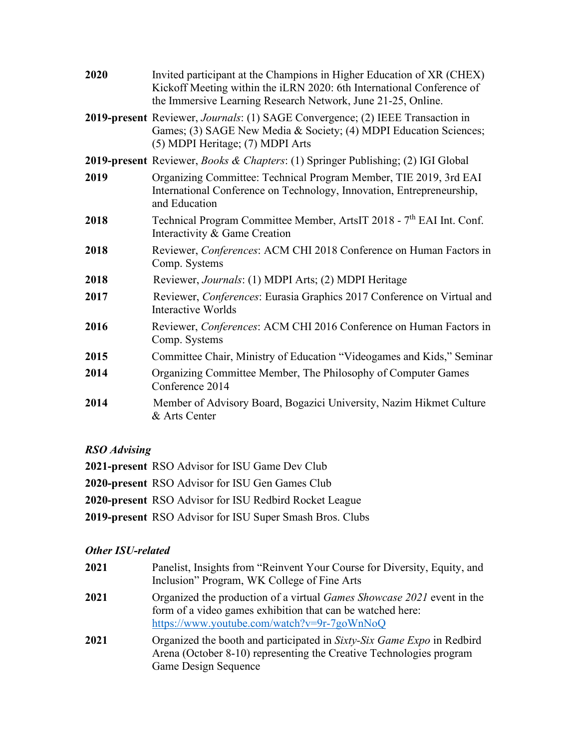| 2020 | Invited participant at the Champions in Higher Education of XR (CHEX)<br>Kickoff Meeting within the iLRN 2020: 6th International Conference of<br>the Immersive Learning Research Network, June 21-25, Online. |
|------|----------------------------------------------------------------------------------------------------------------------------------------------------------------------------------------------------------------|
|      | 2019-present Reviewer, Journals: (1) SAGE Convergence; (2) IEEE Transaction in<br>Games; (3) SAGE New Media & Society; (4) MDPI Education Sciences;<br>(5) MDPI Heritage; (7) MDPI Arts                        |
|      | 2019-present Reviewer, Books & Chapters: (1) Springer Publishing; (2) IGI Global                                                                                                                               |
| 2019 | Organizing Committee: Technical Program Member, TIE 2019, 3rd EAI<br>International Conference on Technology, Innovation, Entrepreneurship,<br>and Education                                                    |
| 2018 | Technical Program Committee Member, ArtsIT 2018 - 7 <sup>th</sup> EAI Int. Conf.<br>Interactivity & Game Creation                                                                                              |
| 2018 | Reviewer, Conferences: ACM CHI 2018 Conference on Human Factors in<br>Comp. Systems                                                                                                                            |
| 2018 | Reviewer, Journals: (1) MDPI Arts; (2) MDPI Heritage                                                                                                                                                           |
| 2017 | Reviewer, Conferences: Eurasia Graphics 2017 Conference on Virtual and<br>Interactive Worlds                                                                                                                   |
| 2016 | Reviewer, Conferences: ACM CHI 2016 Conference on Human Factors in<br>Comp. Systems                                                                                                                            |
| 2015 | Committee Chair, Ministry of Education "Videogames and Kids," Seminar                                                                                                                                          |
| 2014 | Organizing Committee Member, The Philosophy of Computer Games<br>Conference 2014                                                                                                                               |
| 2014 | Member of Advisory Board, Bogazici University, Nazim Hikmet Culture<br>& Arts Center                                                                                                                           |

## **RSO** Advising

| 2021-present RSO Advisor for ISU Game Dev Club           |  |
|----------------------------------------------------------|--|
| 2020-present RSO Advisor for ISU Gen Games Club          |  |
| 2020-present RSO Advisor for ISU Redbird Rocket League   |  |
| 2019-present RSO Advisor for ISU Super Smash Bros. Clubs |  |

## Other ISU-related

| 2021 | Panelist, Insights from "Reinvent Your Course for Diversity, Equity, and<br>Inclusion" Program, WK College of Fine Arts                                                                    |
|------|--------------------------------------------------------------------------------------------------------------------------------------------------------------------------------------------|
| 2021 | Organized the production of a virtual <i>Games Showcase 2021</i> event in the<br>form of a video games exhibition that can be watched here:<br>https://www.youtube.com/watch?v=9r-7goWnNoQ |
| 2021 | Organized the booth and participated in Sixty-Six Game Expo in Redbird<br>Arena (October 8-10) representing the Creative Technologies program<br>Game Design Sequence                      |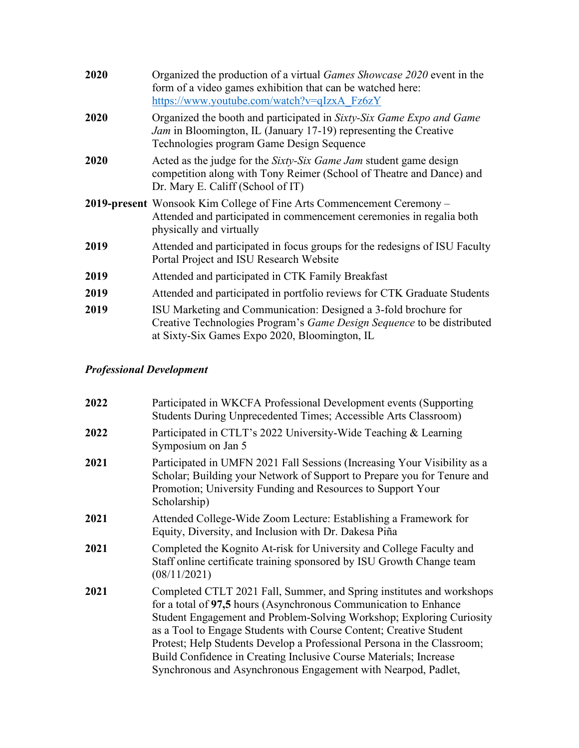| 2020 | Organized the production of a virtual <i>Games Showcase 2020</i> event in the<br>form of a video games exhibition that can be watched here:<br>https://www.youtube.com/watch?v=qIzxA Fz6zY   |
|------|----------------------------------------------------------------------------------------------------------------------------------------------------------------------------------------------|
| 2020 | Organized the booth and participated in Sixty-Six Game Expo and Game<br><i>Jam</i> in Bloomington, IL (January 17-19) representing the Creative<br>Technologies program Game Design Sequence |
| 2020 | Acted as the judge for the Sixty-Six Game Jam student game design<br>competition along with Tony Reimer (School of Theatre and Dance) and<br>Dr. Mary E. Califf (School of IT)               |
|      | 2019-present Wonsook Kim College of Fine Arts Commencement Ceremony -<br>Attended and participated in commencement ceremonies in regalia both<br>physically and virtually                    |
| 2019 | Attended and participated in focus groups for the redesigns of ISU Faculty<br>Portal Project and ISU Research Website                                                                        |
| 2019 | Attended and participated in CTK Family Breakfast                                                                                                                                            |
| 2019 | Attended and participated in portfolio reviews for CTK Graduate Students                                                                                                                     |
| 2019 | ISU Marketing and Communication: Designed a 3-fold brochure for<br>Creative Technologies Program's Game Design Sequence to be distributed<br>at Sixty-Six Games Expo 2020, Bloomington, IL   |

## *Professional Development*

| Participated in WKCFA Professional Development events (Supporting<br>Students During Unprecedented Times; Accessible Arts Classroom)                                                                                                                                                                                                                                                                                                                                                                     |
|----------------------------------------------------------------------------------------------------------------------------------------------------------------------------------------------------------------------------------------------------------------------------------------------------------------------------------------------------------------------------------------------------------------------------------------------------------------------------------------------------------|
| Participated in CTLT's 2022 University-Wide Teaching & Learning<br>Symposium on Jan 5                                                                                                                                                                                                                                                                                                                                                                                                                    |
| Participated in UMFN 2021 Fall Sessions (Increasing Your Visibility as a<br>Scholar; Building your Network of Support to Prepare you for Tenure and<br>Promotion; University Funding and Resources to Support Your<br>Scholarship)                                                                                                                                                                                                                                                                       |
| Attended College-Wide Zoom Lecture: Establishing a Framework for<br>Equity, Diversity, and Inclusion with Dr. Dakesa Piña                                                                                                                                                                                                                                                                                                                                                                                |
| Completed the Kognito At-risk for University and College Faculty and<br>Staff online certificate training sponsored by ISU Growth Change team<br>(08/11/2021)                                                                                                                                                                                                                                                                                                                                            |
| Completed CTLT 2021 Fall, Summer, and Spring institutes and workshops<br>for a total of 97,5 hours (Asynchronous Communication to Enhance<br>Student Engagement and Problem-Solving Workshop; Exploring Curiosity<br>as a Tool to Engage Students with Course Content; Creative Student<br>Protest; Help Students Develop a Professional Persona in the Classroom;<br>Build Confidence in Creating Inclusive Course Materials; Increase<br>Synchronous and Asynchronous Engagement with Nearpod, Padlet, |
|                                                                                                                                                                                                                                                                                                                                                                                                                                                                                                          |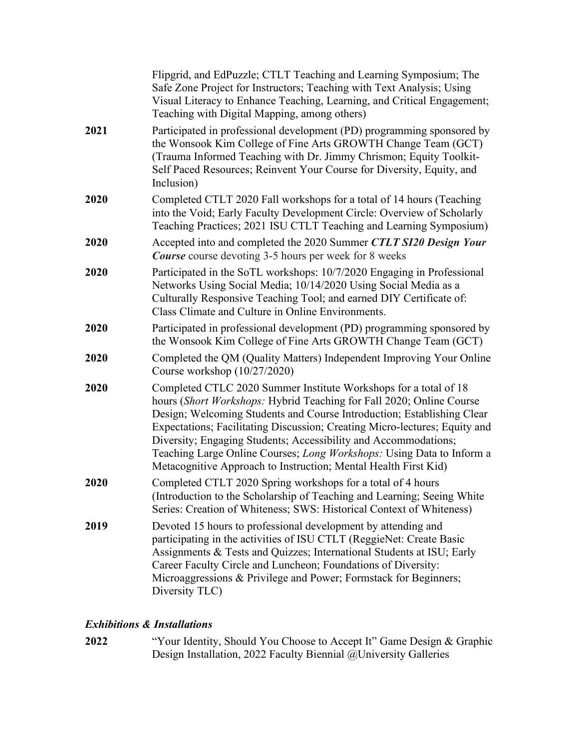|      | Flipgrid, and EdPuzzle; CTLT Teaching and Learning Symposium; The<br>Safe Zone Project for Instructors; Teaching with Text Analysis; Using<br>Visual Literacy to Enhance Teaching, Learning, and Critical Engagement;<br>Teaching with Digital Mapping, among others)                                                                                                                                                                                                                                           |
|------|-----------------------------------------------------------------------------------------------------------------------------------------------------------------------------------------------------------------------------------------------------------------------------------------------------------------------------------------------------------------------------------------------------------------------------------------------------------------------------------------------------------------|
| 2021 | Participated in professional development (PD) programming sponsored by<br>the Wonsook Kim College of Fine Arts GROWTH Change Team (GCT)<br>(Trauma Informed Teaching with Dr. Jimmy Chrismon; Equity Toolkit-<br>Self Paced Resources; Reinvent Your Course for Diversity, Equity, and<br>Inclusion)                                                                                                                                                                                                            |
| 2020 | Completed CTLT 2020 Fall workshops for a total of 14 hours (Teaching<br>into the Void; Early Faculty Development Circle: Overview of Scholarly<br>Teaching Practices; 2021 ISU CTLT Teaching and Learning Symposium)                                                                                                                                                                                                                                                                                            |
| 2020 | Accepted into and completed the 2020 Summer CTLT SI20 Design Your<br><b>Course</b> course devoting 3-5 hours per week for 8 weeks                                                                                                                                                                                                                                                                                                                                                                               |
| 2020 | Participated in the SoTL workshops: 10/7/2020 Engaging in Professional<br>Networks Using Social Media; 10/14/2020 Using Social Media as a<br>Culturally Responsive Teaching Tool; and earned DIY Certificate of:<br>Class Climate and Culture in Online Environments.                                                                                                                                                                                                                                           |
| 2020 | Participated in professional development (PD) programming sponsored by<br>the Wonsook Kim College of Fine Arts GROWTH Change Team (GCT)                                                                                                                                                                                                                                                                                                                                                                         |
| 2020 | Completed the QM (Quality Matters) Independent Improving Your Online<br>Course workshop (10/27/2020)                                                                                                                                                                                                                                                                                                                                                                                                            |
| 2020 | Completed CTLC 2020 Summer Institute Workshops for a total of 18<br>hours (Short Workshops: Hybrid Teaching for Fall 2020; Online Course<br>Design; Welcoming Students and Course Introduction; Establishing Clear<br>Expectations; Facilitating Discussion; Creating Micro-lectures; Equity and<br>Diversity; Engaging Students; Accessibility and Accommodations;<br>Teaching Large Online Courses; Long Workshops: Using Data to Inform a<br>Metacognitive Approach to Instruction; Mental Health First Kid) |
| 2020 | Completed CTLT 2020 Spring workshops for a total of 4 hours<br>(Introduction to the Scholarship of Teaching and Learning; Seeing White<br>Series: Creation of Whiteness; SWS: Historical Context of Whiteness)                                                                                                                                                                                                                                                                                                  |
| 2019 | Devoted 15 hours to professional development by attending and<br>participating in the activities of ISU CTLT (ReggieNet: Create Basic<br>Assignments & Tests and Quizzes; International Students at ISU; Early<br>Career Faculty Circle and Luncheon; Foundations of Diversity:<br>Microaggressions & Privilege and Power; Formstack for Beginners;<br>Diversity TLC)                                                                                                                                           |

## **Exhibitions & Installations**

"Your Identity, Should You Choose to Accept It" Game Design & Graphic<br>Design Installation, 2022 Faculty Biennial @University Galleries 2022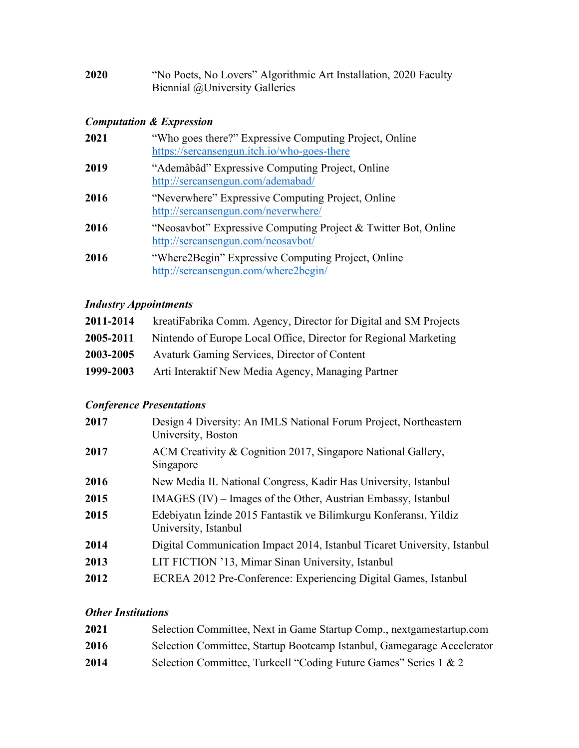| 2020 | "No Poets, No Lovers" Algorithmic Art Installation, 2020 Faculty |
|------|------------------------------------------------------------------|
|      | Biennial @University Galleries                                   |

## *Computation & Expression*

| 2021 | "Who goes there?" Expressive Computing Project, Online<br>https://sercansengun.itch.io/who-goes-there |
|------|-------------------------------------------------------------------------------------------------------|
| 2019 | "Ademâbâd" Expressive Computing Project, Online<br>http://sercansengun.com/ademabad/                  |
| 2016 | "Neverwhere" Expressive Computing Project, Online<br>http://sercansengun.com/neverwhere/              |
| 2016 | "Neosavbot" Expressive Computing Project & Twitter Bot, Online<br>http://sercansengun.com/neosavbot/  |
| 2016 | "Where 2 Begin" Expressive Computing Project, Online<br>http://sercansengun.com/where2begin/          |

## *Industry Appointments*

| 2011-2014 | kreatiFabrika Comm. Agency, Director for Digital and SM Projects |
|-----------|------------------------------------------------------------------|
| 2005-2011 | Nintendo of Europe Local Office, Director for Regional Marketing |
| 2003-2005 | Avaturk Gaming Services, Director of Content                     |
| 1999-2003 | Arti Interaktif New Media Agency, Managing Partner               |

## *Conference Presentations*

| 2017 | Design 4 Diversity: An IMLS National Forum Project, Northeastern<br>University, Boston    |  |  |  |
|------|-------------------------------------------------------------------------------------------|--|--|--|
| 2017 | ACM Creativity & Cognition 2017, Singapore National Gallery,<br>Singapore                 |  |  |  |
| 2016 | New Media II. National Congress, Kadir Has University, Istanbul                           |  |  |  |
| 2015 | IMAGES (IV) – Images of the Other, Austrian Embassy, Istanbul                             |  |  |  |
| 2015 | Edebiyatın İzinde 2015 Fantastik ve Bilimkurgu Konferansı, Yildiz<br>University, Istanbul |  |  |  |
| 2014 | Digital Communication Impact 2014, Istanbul Ticaret University, Istanbul                  |  |  |  |
| 2013 | LIT FICTION '13, Mimar Sinan University, Istanbul                                         |  |  |  |
| 2012 | ECREA 2012 Pre-Conference: Experiencing Digital Games, Istanbul                           |  |  |  |
|      |                                                                                           |  |  |  |

## *Other Institutions*

| 2021 | Selection Committee, Next in Game Startup Comp., nextgamestartup.com   |
|------|------------------------------------------------------------------------|
| 2016 | Selection Committee, Startup Bootcamp Istanbul, Gamegarage Accelerator |
| 2014 | Selection Committee, Turkcell "Coding Future Games" Series 1 & 2       |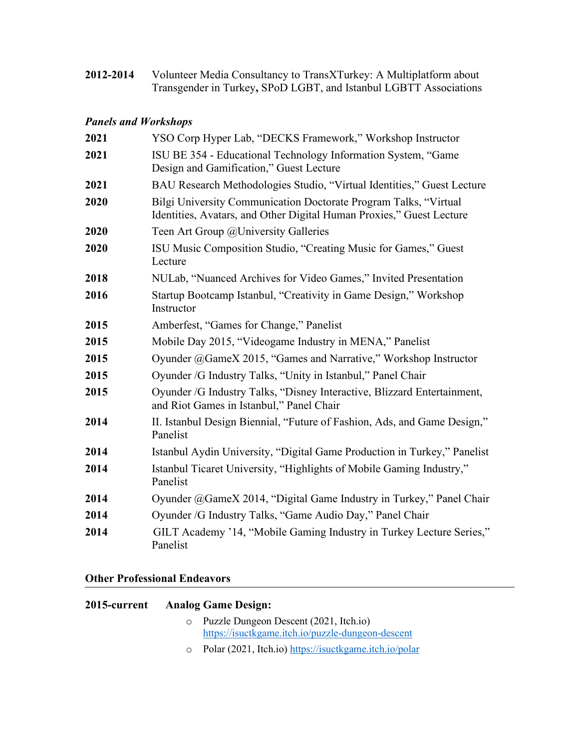Volunteer Media Consultancy to TransXTurkey: A Multiplatform about<br>Transgender in Turkey, SPoD LGBT, and Istanbul LGBTT Associations 2012-2014

## **Panels and Workshops**

| 2021 | YSO Corp Hyper Lab, "DECKS Framework," Workshop Instructor                                                                               |  |  |  |
|------|------------------------------------------------------------------------------------------------------------------------------------------|--|--|--|
| 2021 | ISU BE 354 - Educational Technology Information System, "Game<br>Design and Gamification," Guest Lecture                                 |  |  |  |
| 2021 | BAU Research Methodologies Studio, "Virtual Identities," Guest Lecture                                                                   |  |  |  |
| 2020 | Bilgi University Communication Doctorate Program Talks, "Virtual<br>Identities, Avatars, and Other Digital Human Proxies," Guest Lecture |  |  |  |
| 2020 | Teen Art Group @University Galleries                                                                                                     |  |  |  |
| 2020 | ISU Music Composition Studio, "Creating Music for Games," Guest<br>Lecture                                                               |  |  |  |
| 2018 | NULab, "Nuanced Archives for Video Games," Invited Presentation                                                                          |  |  |  |
| 2016 | Startup Bootcamp Istanbul, "Creativity in Game Design," Workshop<br>Instructor                                                           |  |  |  |
| 2015 | Amberfest, "Games for Change," Panelist                                                                                                  |  |  |  |
| 2015 | Mobile Day 2015, "Videogame Industry in MENA," Panelist                                                                                  |  |  |  |
| 2015 | Oyunder @GameX 2015, "Games and Narrative," Workshop Instructor                                                                          |  |  |  |
| 2015 | Oyunder /G Industry Talks, "Unity in Istanbul," Panel Chair                                                                              |  |  |  |
| 2015 | Oyunder /G Industry Talks, "Disney Interactive, Blizzard Entertainment,<br>and Riot Games in Istanbul," Panel Chair                      |  |  |  |
| 2014 | II. Istanbul Design Biennial, "Future of Fashion, Ads, and Game Design,"<br>Panelist                                                     |  |  |  |
| 2014 | Istanbul Aydin University, "Digital Game Production in Turkey," Panelist                                                                 |  |  |  |
| 2014 | Istanbul Ticaret University, "Highlights of Mobile Gaming Industry,"<br>Panelist                                                         |  |  |  |
| 2014 | Oyunder @GameX 2014, "Digital Game Industry in Turkey," Panel Chair                                                                      |  |  |  |
| 2014 | Oyunder /G Industry Talks, "Game Audio Day," Panel Chair                                                                                 |  |  |  |
| 2014 | GILT Academy '14, "Mobile Gaming Industry in Turkey Lecture Series,"<br>Panelist                                                         |  |  |  |

## **Other Professional Endeavors**

| 2015-current | <b>Analog Game Design:</b>                                                                    |
|--------------|-----------------------------------------------------------------------------------------------|
|              | o Puzzle Dungeon Descent (2021, Itch.io)<br>https://isuctkgame.itch.io/puzzle-dungeon-descent |
|              | $\circ$ Polar (2021, Itch.io) https://isuctkgame.itch.io/polar                                |
|              |                                                                                               |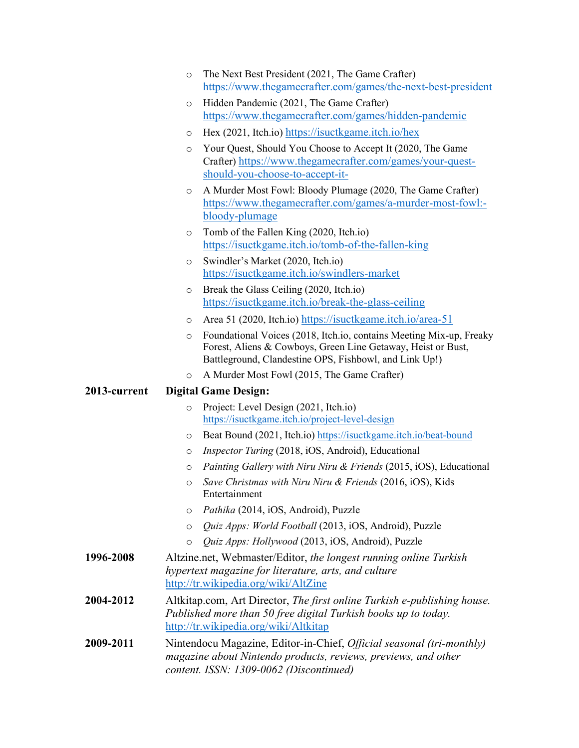- o The Next Best President (2021, The Game Crafter) [https://www.thegamecrafter.com/games/](https://www.thegamecrafter.com/games/the-next-best-president)the-next-best-president
- o Hidden Pandemic (2021, The Game Crafter) [https://www.thega](https://www.thegamecrafter.com/games/hidden-pandemic)mecrafter.com/games/hidden-pandemic
- o Hex (2021, Itch.io) htt[ps://isuctkgame.it](https://isuctkgame.itch.io/hex)ch.io/hex
- o Your Quest, Should You Choose to Accept It (2020, The Game Crafter) http[s://www.thegamecraf](https://www.thegamecrafter.com/games/your-quest-should-you-choose-to-accept-it-)ter.com/games/your-questshould[-you-choose-to-accept-it-](https://www.thegamecrafter.com/games/your-quest-should-you-choose-to-accept-it-)
- o A Murder Most Fowl: Bloody Plumage (2020, The Game Crafter) [https://www.thegamec](https://www.thegamecrafter.com/games/a-murder-most-fowl:-bloody-plumage)rafter.com/games/a-murder-most-fowl: bloody-[plumage](https://www.thegamecrafter.com/games/a-murder-most-fowl:-bloody-plumage)
- o Tomb of the Fallen King (2020, Itch.io) https://isuc[tkgame.itch.io/tomb](https://isuctkgame.itch.io/tomb-of-the-fallen-king)-of-the-fallen-king
- o Swindler's Market (2020, Itch.io) https://is[uctkgame.itch.io/swindlers](https://isuctkgame.itch.io/swindlers-market)-market
- o Break the Glass Ceiling (2020, Itch.io) https://isuctkg[ame.itch.io/break-the-](https://isuctkgame.itch.io/break-the-glass-ceiling)glass-ceiling
- o Area 51 (2020, Itch.io) ht[tps://isuctkgame.itch.io/area](https://isuctkgame.itch.io/area-51)-51
- o Foundational Voices (2018, Itch.io, contains Meeting Mix-up, Freaky Forest, Aliens & Cowboys, Green Line Getaway, Heist or Bust, Battleground, Clandestine OPS, Fishbowl, and Link Up!)
- o A Murder Most Fowl (2015, The Game Crafter)

#### **2013-current Digital Game Design:**

- o Project: Level Design (2021, Itch.io) [https://isuctkgame.itch.io/project](https://isuctkgame.itch.io/project-level-design)-level-design
- o Beat Bound (2021, Itch.io) https://isuctk[game.itch.io/beat](https://isuctkgame.itch.io/beat-bound)-bound
- o *Inspector Turing* (2018, iOS, Android), Educational
- o *Painting Gallery with Niru Niru & Friends* (2015, iOS), Educational
- o *Save Christmas with Niru Niru & Friends* (2016, iOS), Kids Entertainment
- o *Pathika* (2014, iOS, Android), Puzzle
- o *Quiz Apps: World Football* (2013, iOS, Android), Puzzle
- o *Quiz Apps: Hollywood* (2013, iOS, Android), Puzzle
- **1996-2008** Altzine.net, Webmaster/Editor, *the longest running online Turkish hypertext magazine for literature, arts, and culture*  htt[p://tr.wikipedia.org/wiki](http://tr.wikipedia.org/wiki/AltZine)/AltZine
- **2004-2012** Altkitap.com, Art Director, *The first online Turkish e-publishing house. Published more than 50 free digital Turkish books up to today.*  [http://tr.wikipedia.org/w](http://tr.wikipedia.org/wiki/Altkitap)iki/Altkitap
- **2009-2011** Nintendocu Magazine, Editor-in-Chief, *Official seasonal (tri-monthly) magazine about Nintendo products, reviews, previews, and other content. ISSN: 1309-0062 (Discontinued)*